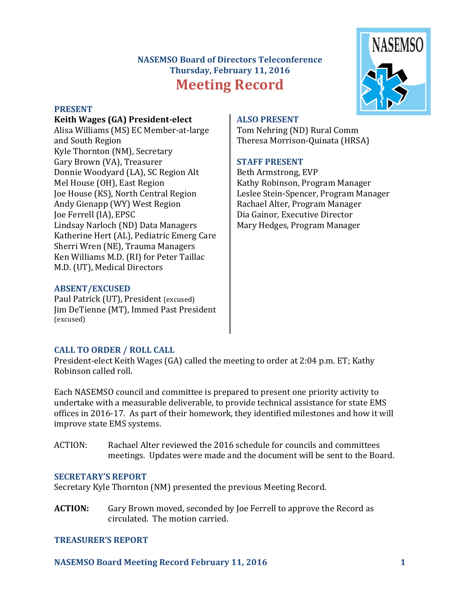# **NASEMSO Board of Directors Teleconference** Thursday, February 11, 2016 **Meeting Record**



#### **PRESENT**

#### **Keith Wages (GA) President-elect**

Alisa Williams (MS) EC Member-at-large and South Region Kyle Thornton (NM), Secretary Gary Brown (VA), Treasurer Donnie Woodyard (LA), SC Region Alt Mel House (OH), East Region Joe House (KS), North Central Region Andy Gienapp (WY) West Region Joe Ferrell (IA), EPSC Lindsay Narloch (ND) Data Managers Katherine Hert (AL), Pediatric Emerg Care Sherri Wren (NE), Trauma Managers Ken Williams M.D. (RI) for Peter Taillac M.D. (UT), Medical Directors

#### **ABSENT/EXCUSED**

Paul Patrick (UT), President (excused) Jim DeTienne (MT), Immed Past President (excused)

## **ALSO PRESENT**

Tom Nehring (ND) Rural Comm Theresa Morrison-Quinata (HRSA)

## **STAFF PRESENT**

Beth Armstrong, EVP Kathy Robinson, Program Manager Leslee Stein-Spencer, Program Manager Rachael Alter, Program Manager Dia Gainor, Executive Director Mary Hedges, Program Manager

# **CALL TO ORDER / ROLL CALL**

President-elect Keith Wages (GA) called the meeting to order at 2:04 p.m. ET; Kathy Robinson called roll.

Each NASEMSO council and committee is prepared to present one priority activity to undertake with a measurable deliverable, to provide technical assistance for state EMS offices in 2016-17. As part of their homework, they identified milestones and how it will improve state EMS systems.

ACTION: Rachael Alter reviewed the 2016 schedule for councils and committees meetings. Updates were made and the document will be sent to the Board.

#### **SECRETARY'S REPORT**

Secretary Kyle Thornton (NM) presented the previous Meeting Record.

**ACTION:** Gary Brown moved, seconded by Joe Ferrell to approve the Record as circulated. The motion carried.

#### **TREASURER'S REPORT**

**NASEMSO Board Meeting Record February 11, 2016 1**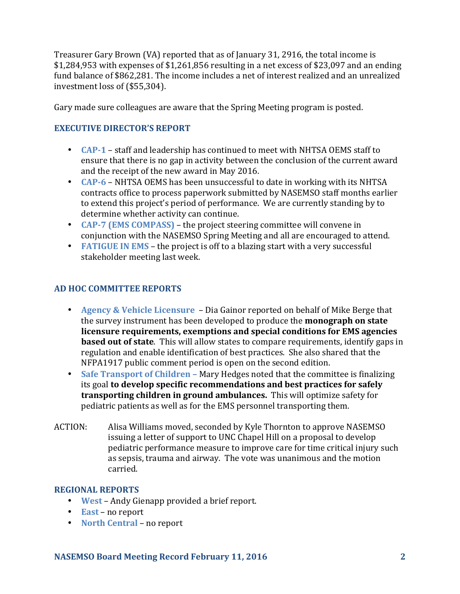Treasurer Gary Brown (VA) reported that as of January 31, 2916, the total income is  $$1,284,953$  with expenses of  $$1,261,856$  resulting in a net excess of \$23,097 and an ending fund balance of \$862,281. The income includes a net of interest realized and an unrealized investment loss of  $(\$55,304)$ .

Gary made sure colleagues are aware that the Spring Meeting program is posted.

## **EXECUTIVE DIRECTOR'S REPORT**

- **CAP-1** staff and leadership has continued to meet with NHTSA OEMS staff to ensure that there is no gap in activity between the conclusion of the current award and the receipt of the new award in May 2016.
- **CAP-6** NHTSA OEMS has been unsuccessful to date in working with its NHTSA contracts office to process paperwork submitted by NASEMSO staff months earlier to extend this project's period of performance. We are currently standing by to determine whether activity can continue.
- **CAP-7 (EMS COMPASS)** the project steering committee will convene in conjunction with the NASEMSO Spring Meeting and all are encouraged to attend.
- **FATIGUE IN EMS** the project is off to a blazing start with a very successful stakeholder meeting last week.

## **AD HOC COMMITTEE REPORTS**

- **Agency & Vehicle Licensure** Dia Gainor reported on behalf of Mike Berge that the survey instrument has been developed to produce the **monograph on state** licensure requirements, exemptions and special conditions for EMS agencies **based out of state**. This will allow states to compare requirements, identify gaps in regulation and enable identification of best practices. She also shared that the NFPA1917 public comment period is open on the second edition.
- Safe Transport of Children Mary Hedges noted that the committee is finalizing its goal to develop specific recommendations and best practices for safely **transporting children in ground ambulances.** This will optimize safety for pediatric patients as well as for the EMS personnel transporting them.
- ACTION: Alisa Williams moved, seconded by Kyle Thornton to approve NASEMSO issuing a letter of support to UNC Chapel Hill on a proposal to develop pediatric performance measure to improve care for time critical injury such as sepsis, trauma and airway. The vote was unanimous and the motion carried.

## **REGIONAL REPORTS**

- **West** Andy Gienapp provided a brief report.
- **East** no report
- **North Central** no report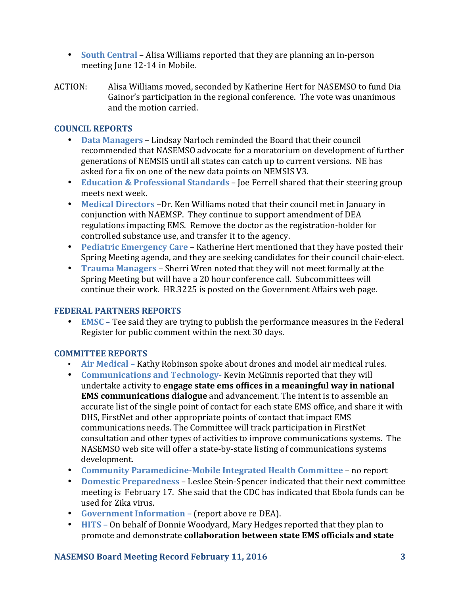- **South Central** Alisa Williams reported that they are planning an in-person meeting June 12-14 in Mobile.
- ACTION: Alisa Williams moved, seconded by Katherine Hert for NASEMSO to fund Dia Gainor's participation in the regional conference. The vote was unanimous and the motion carried.

## **COUNCIL REPORTS**

- **Data Managers** Lindsay Narloch reminded the Board that their council recommended that NASEMSO advocate for a moratorium on development of further generations of NEMSIS until all states can catch up to current versions. NE has asked for a fix on one of the new data points on NEMSIS V3.
- **Education & Professional Standards** Joe Ferrell shared that their steering group meets next week.
- Medical Directors -Dr. Ken Williams noted that their council met in January in conjunction with NAEMSP. They continue to support amendment of DEA regulations impacting EMS. Remove the doctor as the registration-holder for controlled substance use, and transfer it to the agency.
- **Pediatric Emergency Care** Katherine Hert mentioned that they have posted their Spring Meeting agenda, and they are seeking candidates for their council chair-elect.
- **Trauma Managers** Sherri Wren noted that they will not meet formally at the Spring Meeting but will have a 20 hour conference call. Subcommittees will continue their work. HR.3225 is posted on the Government Affairs web page.

## **FEDERAL PARTNERS REPORTS**

• **EMSC** – Tee said they are trying to publish the performance measures in the Federal Register for public comment within the next 30 days.

## **COMMITTEE REPORTS**

- Air Medical Kathy Robinson spoke about drones and model air medical rules.
- **Communications and Technology-** Kevin McGinnis reported that they will undertake activity to **engage state ems offices in a meaningful way in national EMS communications dialogue** and advancement. The intent is to assemble an accurate list of the single point of contact for each state EMS office, and share it with DHS, FirstNet and other appropriate points of contact that impact EMS communications needs. The Committee will track participation in FirstNet consultation and other types of activities to improve communications systems. The NASEMSO web site will offer a state-by-state listing of communications systems development.
- Community Paramedicine-Mobile Integrated Health Committee no report
- **Domestic Preparedness** Leslee Stein-Spencer indicated that their next committee meeting is February 17. She said that the CDC has indicated that Ebola funds can be used for Zika virus.
- **Government Information (report above re DEA).**
- **HITS** On behalf of Donnie Woodyard, Mary Hedges reported that they plan to promote and demonstrate **collaboration between state EMS officials and state**